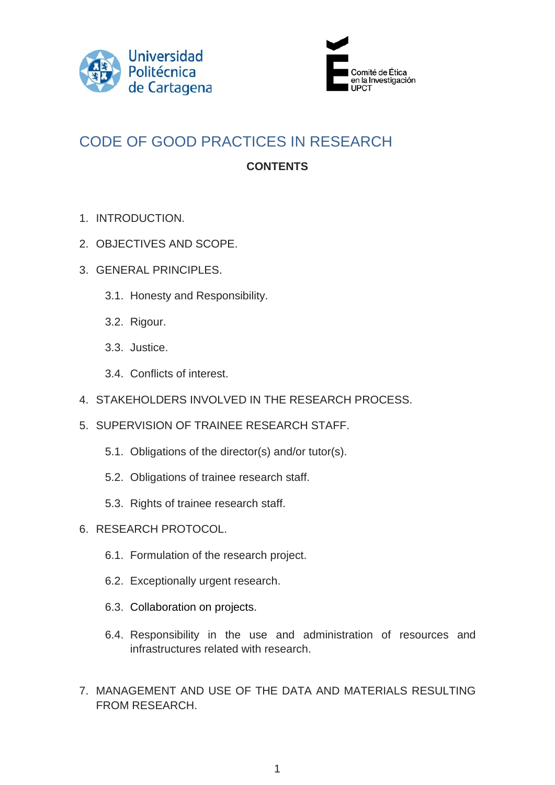



# CODE OF GOOD PRACTICES IN RESEARCH **CONTENTS**

- 1. INTRODUCTION.
- 2. OBJECTIVES AND SCOPE.
- 3. GENERAL PRINCIPLES.
	- 3.1. Honesty and Responsibility.
	- 3.2. Rigour.
	- 3.3. Justice.
	- 3.4. Conflicts of interest.
- 4. STAKEHOLDERS INVOLVED IN THE RESEARCH PROCESS.
- 5. SUPERVISION OF TRAINEE RESEARCH STAFF.
	- 5.1. Obligations of the director(s) and/or tutor(s).
	- 5.2. Obligations of trainee research staff.
	- 5.3. Rights of trainee research staff.
- 6. RESEARCH PROTOCOL.
	- 6.1. Formulation of the research project.
	- 6.2. Exceptionally urgent research.
	- 6.3. Collaboration on projects.
	- 6.4. Responsibility in the use and administration of resources and infrastructures related with research.
- 7. MANAGEMENT AND USE OF THE DATA AND MATERIALS RESULTING FROM RESEARCH.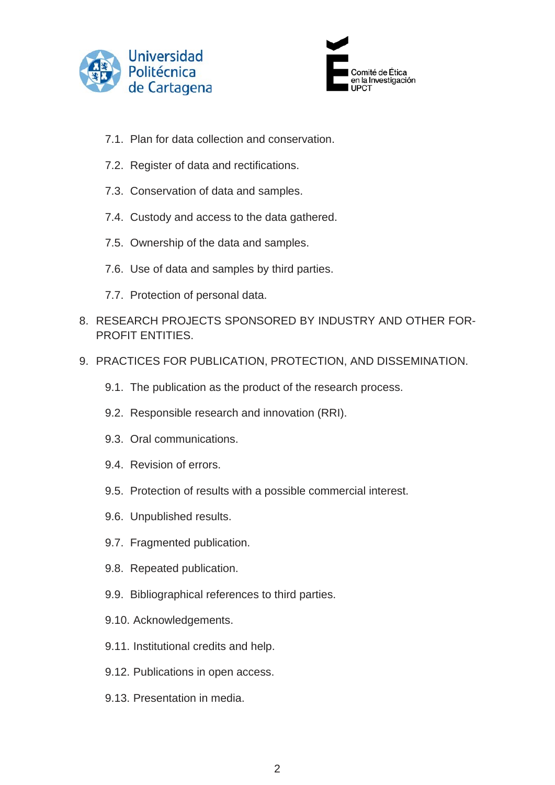



- 7.1. Plan for data collection and conservation.
- 7.2. Register of data and rectifications.
- 7.3. Conservation of data and samples.
- 7.4. Custody and access to the data gathered.
- 7.5. Ownership of the data and samples.
- 7.6. Use of data and samples by third parties.
- 7.7. Protection of personal data.
- 8. RESEARCH PROJECTS SPONSORED BY INDUSTRY AND OTHER FOR-PROFIT ENTITIES.
- 9. PRACTICES FOR PUBLICATION, PROTECTION, AND DISSEMINATION.
	- 9.1. The publication as the product of the research process.
	- 9.2. Responsible research and innovation (RRI).
	- 9.3. Oral communications.
	- 9.4. Revision of errors.
	- 9.5. Protection of results with a possible commercial interest.
	- 9.6. Unpublished results.
	- 9.7. Fragmented publication.
	- 9.8. Repeated publication.
	- 9.9. Bibliographical references to third parties.
	- 9.10. Acknowledgements.
	- 9.11. Institutional credits and help.
	- 9.12. Publications in open access.
	- 9.13. Presentation in media.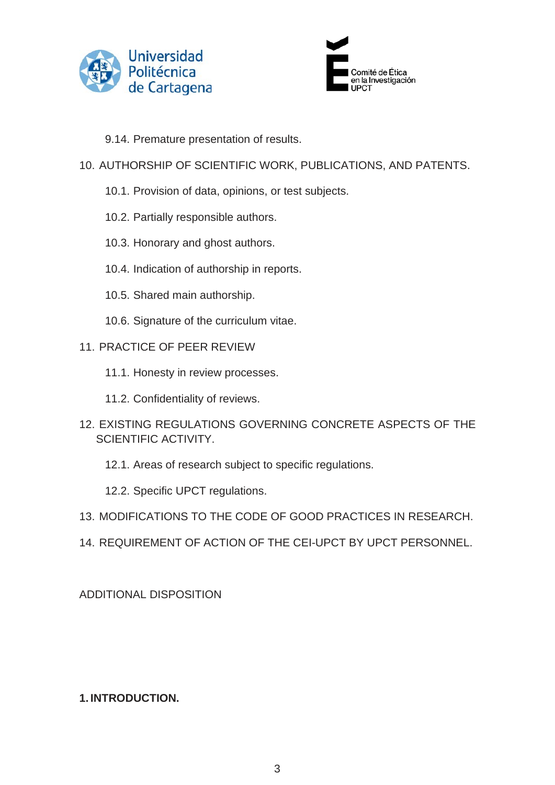



9.14. Premature presentation of results.

## 10. AUTHORSHIP OF SCIENTIFIC WORK, PUBLICATIONS, AND PATENTS.

- 10.1. Provision of data, opinions, or test subjects.
- 10.2. Partially responsible authors.
- 10.3. Honorary and ghost authors.
- 10.4. Indication of authorship in reports.
- 10.5. Shared main authorship.
- 10.6. Signature of the curriculum vitae.

#### 11. PRACTICE OF PEER REVIEW

- 11.1. Honesty in review processes.
- 11.2. Confidentiality of reviews.
- 12. EXISTING REGULATIONS GOVERNING CONCRETE ASPECTS OF THE SCIENTIFIC ACTIVITY.
	- 12.1. Areas of research subject to specific regulations.

12.2. Specific UPCT regulations.

- 13. MODIFICATIONS TO THE CODE OF GOOD PRACTICES IN RESEARCH.
- 14. REQUIREMENT OF ACTION OF THE CEI-UPCT BY UPCT PERSONNEL.

ADDITIONAL DISPOSITION

#### **1. INTRODUCTION.**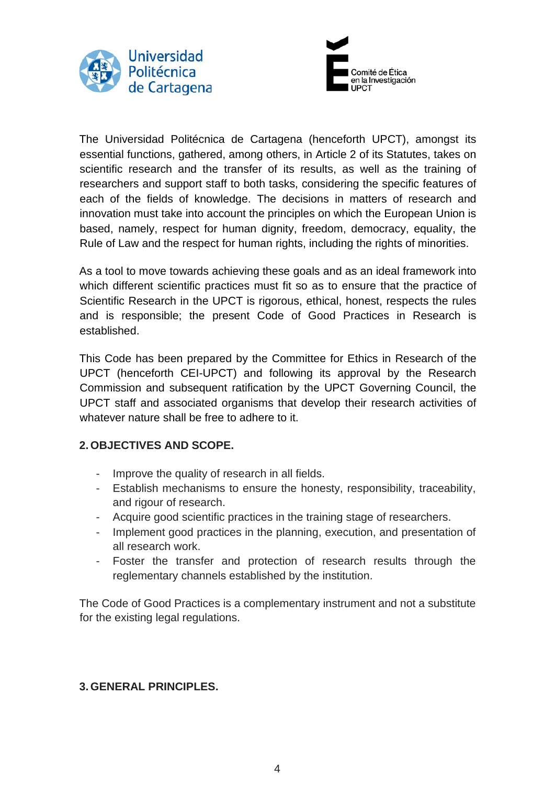



The Universidad Politécnica de Cartagena (henceforth UPCT), amongst its essential functions, gathered, among others, in Article 2 of its Statutes, takes on scientific research and the transfer of its results, as well as the training of researchers and support staff to both tasks, considering the specific features of each of the fields of knowledge. The decisions in matters of research and innovation must take into account the principles on which the European Union is based, namely, respect for human dignity, freedom, democracy, equality, the Rule of Law and the respect for human rights, including the rights of minorities.

As a tool to move towards achieving these goals and as an ideal framework into which different scientific practices must fit so as to ensure that the practice of Scientific Research in the UPCT is rigorous, ethical, honest, respects the rules and is responsible; the present Code of Good Practices in Research is established.

This Code has been prepared by the Committee for Ethics in Research of the UPCT (henceforth CEI-UPCT) and following its approval by the Research Commission and subsequent ratification by the UPCT Governing Council, the UPCT staff and associated organisms that develop their research activities of whatever nature shall be free to adhere to it.

#### **2. OBJECTIVES AND SCOPE.**

- Improve the quality of research in all fields.
- Establish mechanisms to ensure the honesty, responsibility, traceability, and rigour of research.
- Acquire good scientific practices in the training stage of researchers.
- Implement good practices in the planning, execution, and presentation of all research work.
- Foster the transfer and protection of research results through the reglementary channels established by the institution.

The Code of Good Practices is a complementary instrument and not a substitute for the existing legal regulations.

#### **3. GENERAL PRINCIPLES.**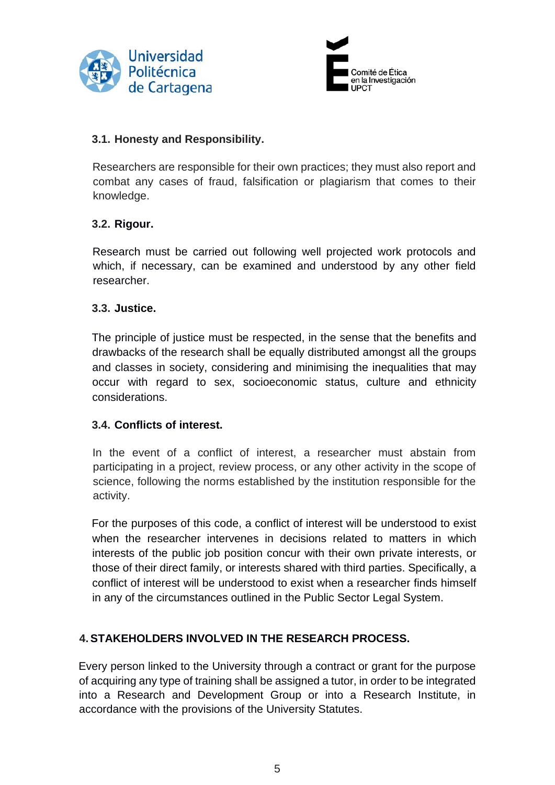



#### **3.1. Honesty and Responsibility.**

Researchers are responsible for their own practices; they must also report and combat any cases of fraud, falsification or plagiarism that comes to their knowledge.

#### **3.2. Rigour.**

Research must be carried out following well projected work protocols and which, if necessary, can be examined and understood by any other field researcher.

#### **3.3. Justice.**

The principle of justice must be respected, in the sense that the benefits and drawbacks of the research shall be equally distributed amongst all the groups and classes in society, considering and minimising the inequalities that may occur with regard to sex, socioeconomic status, culture and ethnicity considerations.

#### **3.4. Conflicts of interest.**

In the event of a conflict of interest, a researcher must abstain from participating in a project, review process, or any other activity in the scope of science, following the norms established by the institution responsible for the activity.

For the purposes of this code, a conflict of interest will be understood to exist when the researcher intervenes in decisions related to matters in which interests of the public job position concur with their own private interests, or those of their direct family, or interests shared with third parties. Specifically, a conflict of interest will be understood to exist when a researcher finds himself in any of the circumstances outlined in the Public Sector Legal System.

#### **4.STAKEHOLDERS INVOLVED IN THE RESEARCH PROCESS.**

Every person linked to the University through a contract or grant for the purpose of acquiring any type of training shall be assigned a tutor, in order to be integrated into a Research and Development Group or into a Research Institute, in accordance with the provisions of the University Statutes.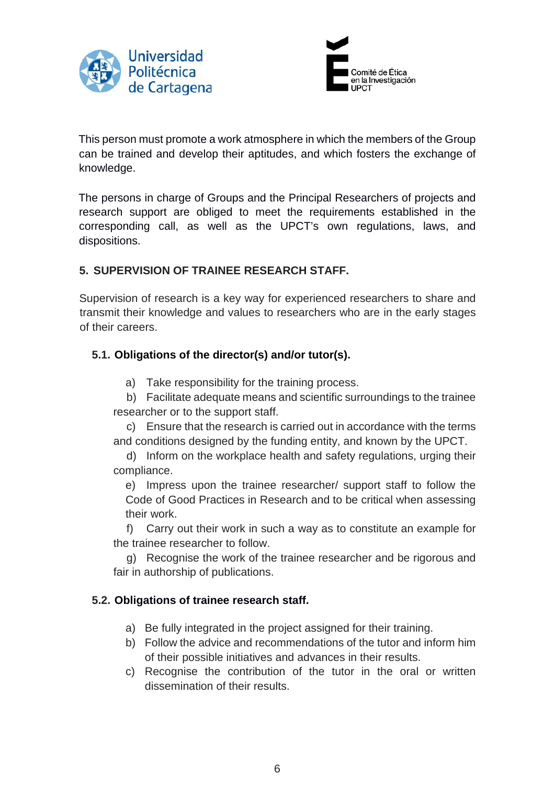



This person must promote a work atmosphere in which the members of the Group can be trained and develop their aptitudes, and which fosters the exchange of knowledge.

The persons in charge of Groups and the Principal Researchers of projects and research support are obliged to meet the requirements established in the corresponding call, as well as the UPCT's own regulations, laws, and dispositions.

#### **5. SUPERVISION OF TRAINEE RESEARCH STAFF.**

Supervision of research is a key way for experienced researchers to share and transmit their knowledge and values to researchers who are in the early stages of their careers.

## **5.1. Obligations of the director(s) and/or tutor(s).**

- a) Take responsibility for the training process.
- b) Facilitate adequate means and scientific surroundings to the trainee researcher or to the support staff.

c) Ensure that the research is carried out in accordance with the terms and conditions designed by the funding entity, and known by the UPCT.

d) Inform on the workplace health and safety regulations, urging their compliance.

e) Impress upon the trainee researcher/ support staff to follow the Code of Good Practices in Research and to be critical when assessing their work.

f) Carry out their work in such a way as to constitute an example for the trainee researcher to follow.

g) Recognise the work of the trainee researcher and be rigorous and fair in authorship of publications.

#### **5.2. Obligations of trainee research staff.**

- a) Be fully integrated in the project assigned for their training.
- b) Follow the advice and recommendations of the tutor and inform him of their possible initiatives and advances in their results.
- c) Recognise the contribution of the tutor in the oral or written dissemination of their results.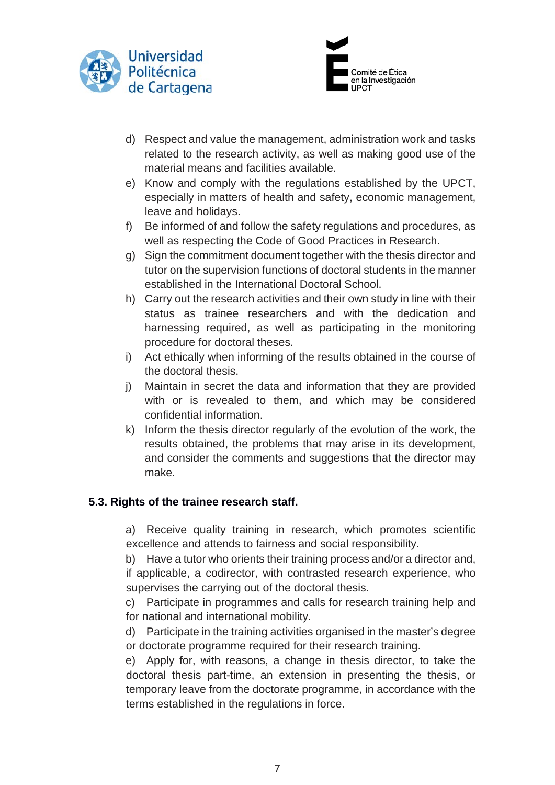



- d) Respect and value the management, administration work and tasks related to the research activity, as well as making good use of the material means and facilities available.
- e) Know and comply with the regulations established by the UPCT, especially in matters of health and safety, economic management, leave and holidays.
- f) Be informed of and follow the safety regulations and procedures, as well as respecting the Code of Good Practices in Research.
- g) Sign the commitment document together with the thesis director and tutor on the supervision functions of doctoral students in the manner established in the International Doctoral School.
- h) Carry out the research activities and their own study in line with their status as trainee researchers and with the dedication and harnessing required, as well as participating in the monitoring procedure for doctoral theses.
- i) Act ethically when informing of the results obtained in the course of the doctoral thesis.
- j) Maintain in secret the data and information that they are provided with or is revealed to them, and which may be considered confidential information.
- k) Inform the thesis director regularly of the evolution of the work, the results obtained, the problems that may arise in its development, and consider the comments and suggestions that the director may make.

# **5.3. Rights of the trainee research staff.**

a) Receive quality training in research, which promotes scientific excellence and attends to fairness and social responsibility.

b) Have a tutor who orients their training process and/or a director and, if applicable, a codirector, with contrasted research experience, who supervises the carrying out of the doctoral thesis.

c) Participate in programmes and calls for research training help and for national and international mobility.

d) Participate in the training activities organised in the master's degree or doctorate programme required for their research training.

e) Apply for, with reasons, a change in thesis director, to take the doctoral thesis part-time, an extension in presenting the thesis, or temporary leave from the doctorate programme, in accordance with the terms established in the regulations in force.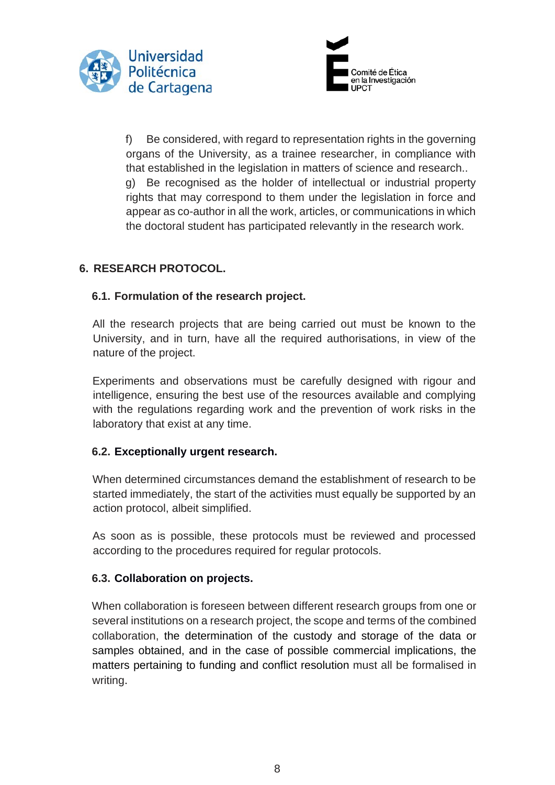



f) Be considered, with regard to representation rights in the governing organs of the University, as a trainee researcher, in compliance with that established in the legislation in matters of science and research.. g) Be recognised as the holder of intellectual or industrial property rights that may correspond to them under the legislation in force and appear as co-author in all the work, articles, or communications in which the doctoral student has participated relevantly in the research work.

# **6. RESEARCH PROTOCOL.**

#### **6.1. Formulation of the research project.**

All the research projects that are being carried out must be known to the University, and in turn, have all the required authorisations, in view of the nature of the project.

Experiments and observations must be carefully designed with rigour and intelligence, ensuring the best use of the resources available and complying with the regulations regarding work and the prevention of work risks in the laboratory that exist at any time.

#### **6.2. Exceptionally urgent research.**

When determined circumstances demand the establishment of research to be started immediately, the start of the activities must equally be supported by an action protocol, albeit simplified.

As soon as is possible, these protocols must be reviewed and processed according to the procedures required for regular protocols.

#### **6.3. Collaboration on projects.**

When collaboration is foreseen between different research groups from one or several institutions on a research project, the scope and terms of the combined collaboration, the determination of the custody and storage of the data or samples obtained, and in the case of possible commercial implications, the matters pertaining to funding and conflict resolution must all be formalised in writing.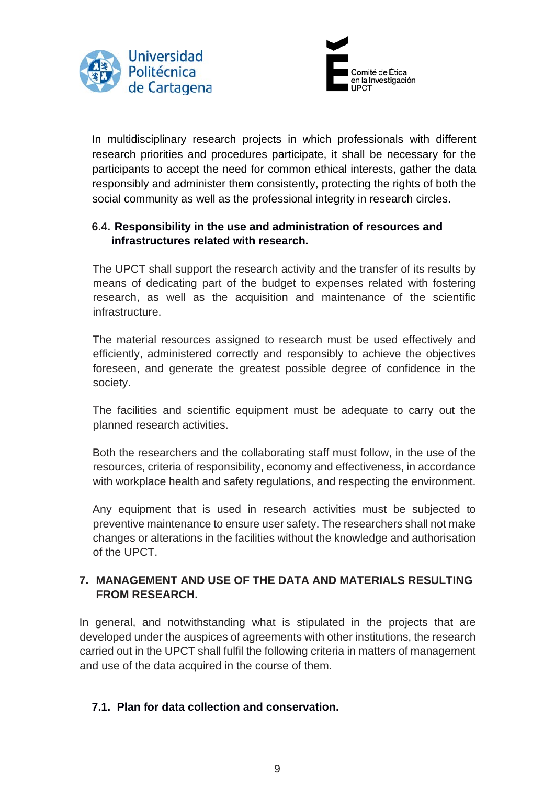



In multidisciplinary research projects in which professionals with different research priorities and procedures participate, it shall be necessary for the participants to accept the need for common ethical interests, gather the data responsibly and administer them consistently, protecting the rights of both the social community as well as the professional integrity in research circles.

## **6.4. Responsibility in the use and administration of resources and infrastructures related with research.**

The UPCT shall support the research activity and the transfer of its results by means of dedicating part of the budget to expenses related with fostering research, as well as the acquisition and maintenance of the scientific infrastructure.

The material resources assigned to research must be used effectively and efficiently, administered correctly and responsibly to achieve the objectives foreseen, and generate the greatest possible degree of confidence in the society.

The facilities and scientific equipment must be adequate to carry out the planned research activities.

Both the researchers and the collaborating staff must follow, in the use of the resources, criteria of responsibility, economy and effectiveness, in accordance with workplace health and safety regulations, and respecting the environment.

Any equipment that is used in research activities must be subjected to preventive maintenance to ensure user safety. The researchers shall not make changes or alterations in the facilities without the knowledge and authorisation of the UPCT.

## **7. MANAGEMENT AND USE OF THE DATA AND MATERIALS RESULTING FROM RESEARCH.**

In general, and notwithstanding what is stipulated in the projects that are developed under the auspices of agreements with other institutions, the research carried out in the UPCT shall fulfil the following criteria in matters of management and use of the data acquired in the course of them.

#### **7.1. Plan for data collection and conservation.**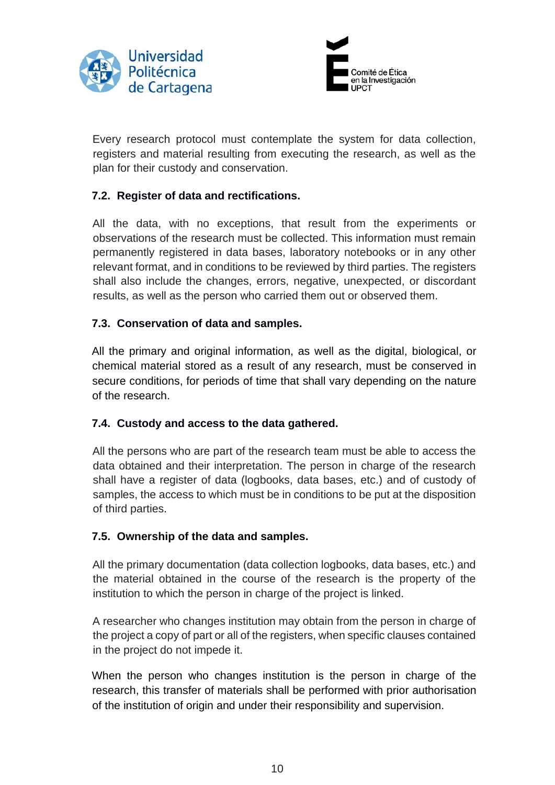



Every research protocol must contemplate the system for data collection, registers and material resulting from executing the research, as well as the plan for their custody and conservation.

## **7.2. Register of data and rectifications.**

All the data, with no exceptions, that result from the experiments or observations of the research must be collected. This information must remain permanently registered in data bases, laboratory notebooks or in any other relevant format, and in conditions to be reviewed by third parties. The registers shall also include the changes, errors, negative, unexpected, or discordant results, as well as the person who carried them out or observed them.

#### **7.3. Conservation of data and samples.**

All the primary and original information, as well as the digital, biological, or chemical material stored as a result of any research, must be conserved in secure conditions, for periods of time that shall vary depending on the nature of the research.

#### **7.4. Custody and access to the data gathered.**

All the persons who are part of the research team must be able to access the data obtained and their interpretation. The person in charge of the research shall have a register of data (logbooks, data bases, etc.) and of custody of samples, the access to which must be in conditions to be put at the disposition of third parties.

#### **7.5. Ownership of the data and samples.**

All the primary documentation (data collection logbooks, data bases, etc.) and the material obtained in the course of the research is the property of the institution to which the person in charge of the project is linked.

A researcher who changes institution may obtain from the person in charge of the project a copy of part or all of the registers, when specific clauses contained in the project do not impede it.

When the person who changes institution is the person in charge of the research, this transfer of materials shall be performed with prior authorisation of the institution of origin and under their responsibility and supervision.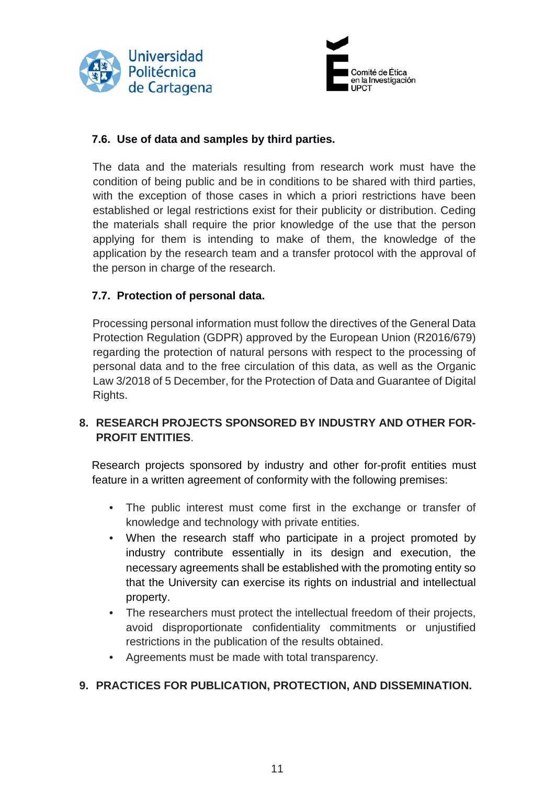



#### **7.6. Use of data and samples by third parties.**

The data and the materials resulting from research work must have the condition of being public and be in conditions to be shared with third parties, with the exception of those cases in which a priori restrictions have been established or legal restrictions exist for their publicity or distribution. Ceding the materials shall require the prior knowledge of the use that the person applying for them is intending to make of them, the knowledge of the application by the research team and a transfer protocol with the approval of the person in charge of the research.

#### **7.7. Protection of personal data.**

Processing personal information must follow the directives of the General Data Protection Regulation (GDPR) approved by the European Union (R2016/679) regarding the protection of natural persons with respect to the processing of personal data and to the free circulation of this data, as well as the Organic Law 3/2018 of 5 December, for the Protection of Data and Guarantee of Digital Rights.

#### **8. RESEARCH PROJECTS SPONSORED BY INDUSTRY AND OTHER FOR-PROFIT ENTITIES**.

Research projects sponsored by industry and other for-profit entities must feature in a written agreement of conformity with the following premises:

- The public interest must come first in the exchange or transfer of knowledge and technology with private entities.
- When the research staff who participate in a project promoted by industry contribute essentially in its design and execution, the necessary agreements shall be established with the promoting entity so that the University can exercise its rights on industrial and intellectual property.
- The researchers must protect the intellectual freedom of their projects, avoid disproportionate confidentiality commitments or unjustified restrictions in the publication of the results obtained.
- Agreements must be made with total transparency.

#### **9. PRACTICES FOR PUBLICATION, PROTECTION, AND DISSEMINATION.**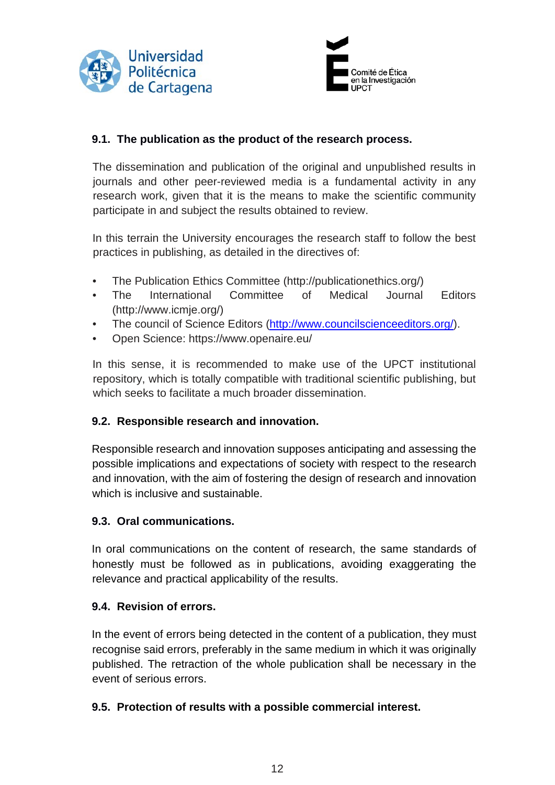



## **9.1. The publication as the product of the research process.**

The dissemination and publication of the original and unpublished results in journals and other peer-reviewed media is a fundamental activity in any research work, given that it is the means to make the scientific community participate in and subject the results obtained to review.

In this terrain the University encourages the research staff to follow the best practices in publishing, as detailed in the directives of:

- The Publication Ethics Committee (http://publicationethics.org/)
- The International Committee of Medical Journal Editors (http://www.icmje.org/)
- The council of Science Editors [\(http://www.councilscienceeditors.org/\).](http://www.councilscienceeditors.org/)
- Open Science: <https://www.openaire.eu/>

In this sense, it is recommended to make use of the UPCT institutional repository, which is totally compatible with traditional scientific publishing, but which seeks to facilitate a much broader dissemination.

#### **9.2. Responsible research and innovation.**

Responsible research and innovation supposes anticipating and assessing the possible implications and expectations of society with respect to the research and innovation, with the aim of fostering the design of research and innovation which is inclusive and sustainable.

#### **9.3. Oral communications.**

In oral communications on the content of research, the same standards of honestly must be followed as in publications, avoiding exaggerating the relevance and practical applicability of the results.

#### **9.4. Revision of errors.**

In the event of errors being detected in the content of a publication, they must recognise said errors, preferably in the same medium in which it was originally published. The retraction of the whole publication shall be necessary in the event of serious errors.

#### **9.5. Protection of results with a possible commercial interest.**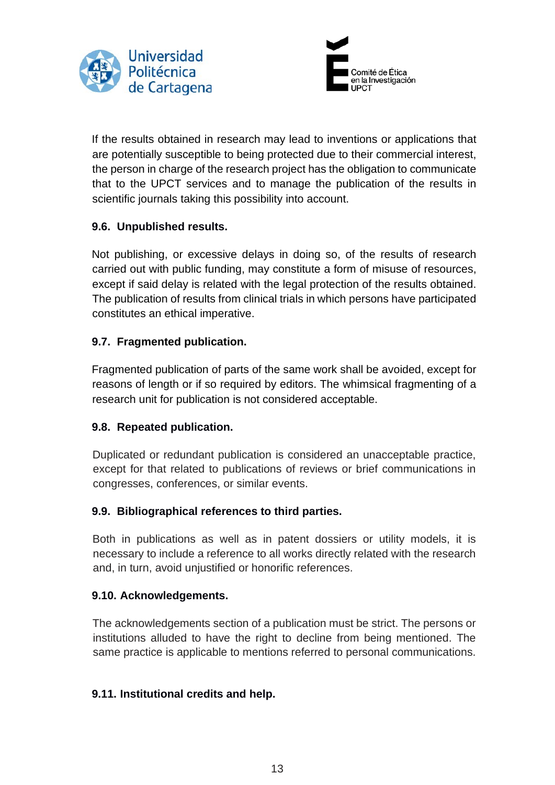



If the results obtained in research may lead to inventions or applications that are potentially susceptible to being protected due to their commercial interest, the person in charge of the research project has the obligation to communicate that to the UPCT services and to manage the publication of the results in scientific journals taking this possibility into account.

## **9.6. Unpublished results.**

Not publishing, or excessive delays in doing so, of the results of research carried out with public funding, may constitute a form of misuse of resources, except if said delay is related with the legal protection of the results obtained. The publication of results from clinical trials in which persons have participated constitutes an ethical imperative.

## **9.7. Fragmented publication.**

Fragmented publication of parts of the same work shall be avoided, except for reasons of length or if so required by editors. The whimsical fragmenting of a research unit for publication is not considered acceptable.

#### **9.8. Repeated publication.**

Duplicated or redundant publication is considered an unacceptable practice, except for that related to publications of reviews or brief communications in congresses, conferences, or similar events.

#### **9.9. Bibliographical references to third parties.**

Both in publications as well as in patent dossiers or utility models, it is necessary to include a reference to all works directly related with the research and, in turn, avoid unjustified or honorific references.

#### **9.10. Acknowledgements.**

The acknowledgements section of a publication must be strict. The persons or institutions alluded to have the right to decline from being mentioned. The same practice is applicable to mentions referred to personal communications.

#### **9.11. Institutional credits and help.**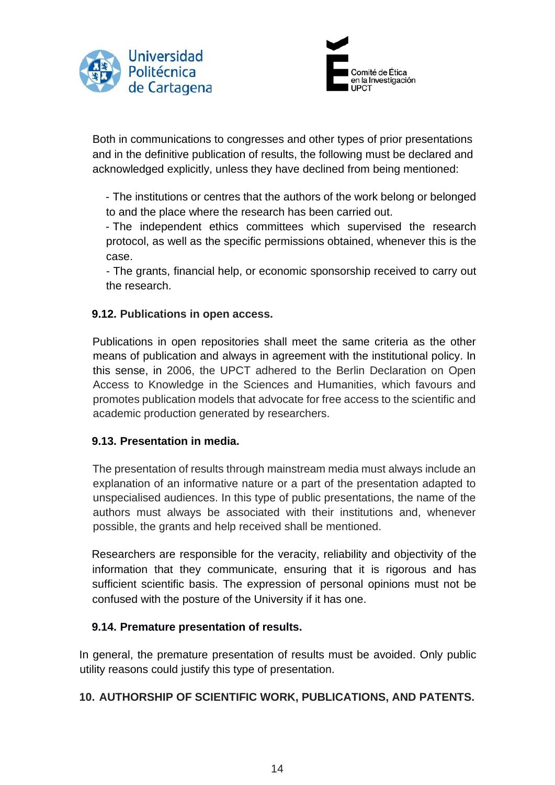



Both in communications to congresses and other types of prior presentations and in the definitive publication of results, the following must be declared and acknowledged explicitly, unless they have declined from being mentioned:

- The institutions or centres that the authors of the work belong or belonged to and the place where the research has been carried out.

- The independent ethics committees which supervised the research protocol, as well as the specific permissions obtained, whenever this is the case.

- The grants, financial help, or economic sponsorship received to carry out the research.

#### **9.12. Publications in open access.**

Publications in open repositories shall meet the same criteria as the other means of publication and always in agreement with the institutional policy. In this sense, in 2006, the UPCT adhered to the Berlin Declaration on Open Access to Knowledge in the Sciences and Humanities, which favours and promotes publication models that advocate for free access to the scientific and academic production generated by researchers.

#### **9.13. Presentation in media.**

The presentation of results through mainstream media must always include an explanation of an informative nature or a part of the presentation adapted to unspecialised audiences. In this type of public presentations, the name of the authors must always be associated with their institutions and, whenever possible, the grants and help received shall be mentioned.

Researchers are responsible for the veracity, reliability and objectivity of the information that they communicate, ensuring that it is rigorous and has sufficient scientific basis. The expression of personal opinions must not be confused with the posture of the University if it has one.

#### **9.14. Premature presentation of results.**

In general, the premature presentation of results must be avoided. Only public utility reasons could justify this type of presentation.

# **10. AUTHORSHIP OF SCIENTIFIC WORK, PUBLICATIONS, AND PATENTS.**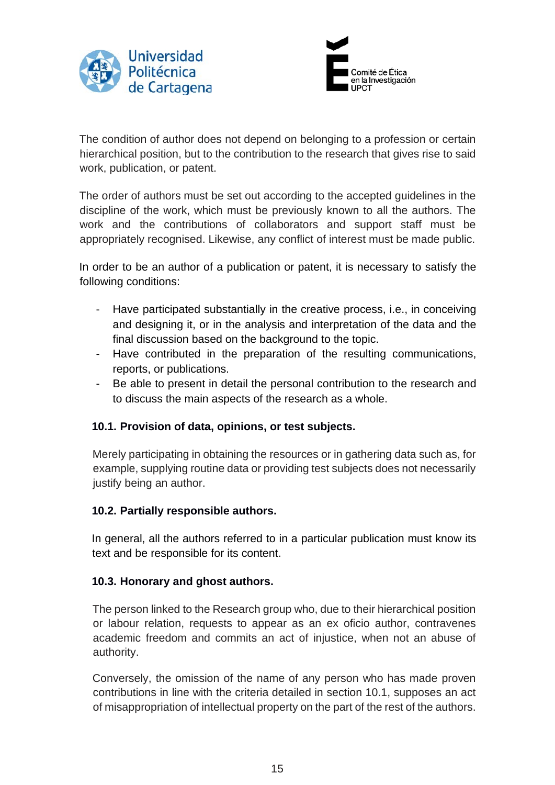



The condition of author does not depend on belonging to a profession or certain hierarchical position, but to the contribution to the research that gives rise to said work, publication, or patent.

The order of authors must be set out according to the accepted guidelines in the discipline of the work, which must be previously known to all the authors. The work and the contributions of collaborators and support staff must be appropriately recognised. Likewise, any conflict of interest must be made public.

In order to be an author of a publication or patent, it is necessary to satisfy the following conditions:

- Have participated substantially in the creative process, i.e., in conceiving and designing it, or in the analysis and interpretation of the data and the final discussion based on the background to the topic.
- Have contributed in the preparation of the resulting communications, reports, or publications.
- Be able to present in detail the personal contribution to the research and to discuss the main aspects of the research as a whole.

#### **10.1. Provision of data, opinions, or test subjects.**

Merely participating in obtaining the resources or in gathering data such as, for example, supplying routine data or providing test subjects does not necessarily justify being an author.

#### **10.2. Partially responsible authors.**

In general, all the authors referred to in a particular publication must know its text and be responsible for its content.

#### **10.3. Honorary and ghost authors.**

The person linked to the Research group who, due to their hierarchical position or labour relation, requests to appear as an ex oficio author, contravenes academic freedom and commits an act of injustice, when not an abuse of authority.

Conversely, the omission of the name of any person who has made proven contributions in line with the criteria detailed in section 10.1, supposes an act of misappropriation of intellectual property on the part of the rest of the authors.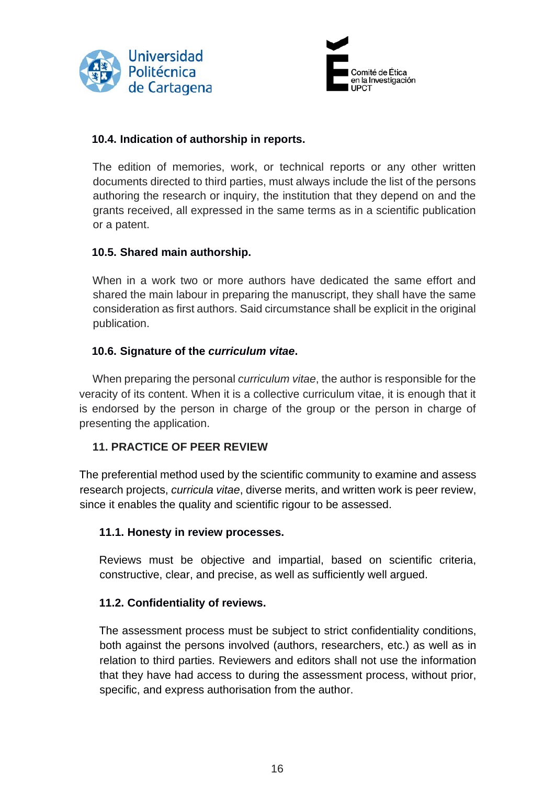



#### **10.4. Indication of authorship in reports.**

The edition of memories, work, or technical reports or any other written documents directed to third parties, must always include the list of the persons authoring the research or inquiry, the institution that they depend on and the grants received, all expressed in the same terms as in a scientific publication or a patent.

#### **10.5. Shared main authorship.**

When in a work two or more authors have dedicated the same effort and shared the main labour in preparing the manuscript, they shall have the same consideration as first authors. Said circumstance shall be explicit in the original publication.

#### **10.6. Signature of the** *curriculum vitae***.**

When preparing the personal *curriculum vitae*, the author is responsible for the veracity of its content. When it is a collective curriculum vitae, it is enough that it is endorsed by the person in charge of the group or the person in charge of presenting the application.

#### **11. PRACTICE OF PEER REVIEW**

The preferential method used by the scientific community to examine and assess research projects, *curricula vitae*, diverse merits, and written work is peer review, since it enables the quality and scientific rigour to be assessed.

#### **11.1. Honesty in review processes.**

Reviews must be objective and impartial, based on scientific criteria, constructive, clear, and precise, as well as sufficiently well argued.

#### **11.2. Confidentiality of reviews.**

The assessment process must be subject to strict confidentiality conditions, both against the persons involved (authors, researchers, etc.) as well as in relation to third parties. Reviewers and editors shall not use the information that they have had access to during the assessment process, without prior, specific, and express authorisation from the author.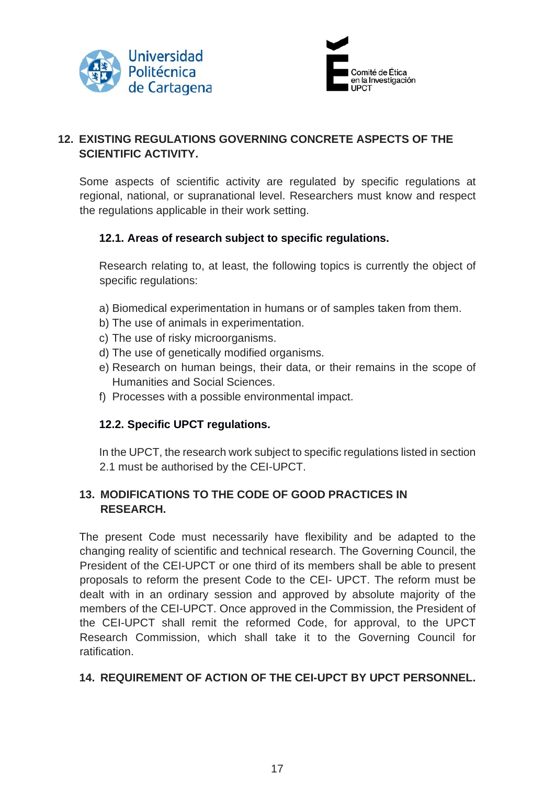



# **12. EXISTING REGULATIONS GOVERNING CONCRETE ASPECTS OF THE SCIENTIFIC ACTIVITY.**

Some aspects of scientific activity are regulated by specific regulations at regional, national, or supranational level. Researchers must know and respect the regulations applicable in their work setting.

## **12.1. Areas of research subject to specific regulations.**

Research relating to, at least, the following topics is currently the object of specific regulations:

- a) Biomedical experimentation in humans or of samples taken from them.
- b) The use of animals in experimentation.
- c) The use of risky microorganisms.
- d) The use of genetically modified organisms.
- e) Research on human beings, their data, or their remains in the scope of Humanities and Social Sciences.
- f) Processes with a possible environmental impact.

# **12.2. Specific UPCT regulations.**

In the UPCT, the research work subject to specific regulations listed in section 2.1 must be authorised by the CEI-UPCT.

# **13. MODIFICATIONS TO THE CODE OF GOOD PRACTICES IN RESEARCH.**

The present Code must necessarily have flexibility and be adapted to the changing reality of scientific and technical research. The Governing Council, the President of the CEI-UPCT or one third of its members shall be able to present proposals to reform the present Code to the CEI- UPCT. The reform must be dealt with in an ordinary session and approved by absolute majority of the members of the CEI-UPCT. Once approved in the Commission, the President of the CEI-UPCT shall remit the reformed Code, for approval, to the UPCT Research Commission, which shall take it to the Governing Council for ratification.

# **14. REQUIREMENT OF ACTION OF THE CEI-UPCT BY UPCT PERSONNEL.**